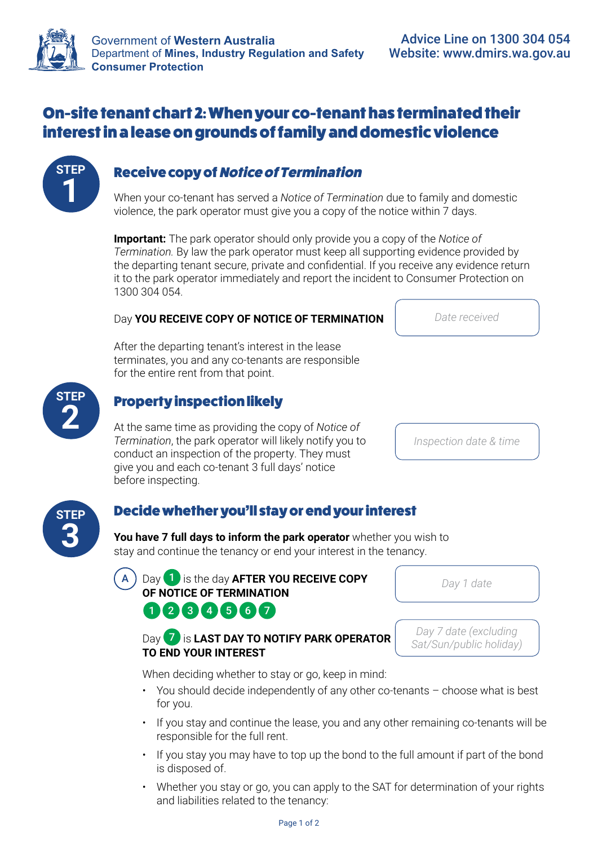

# On-site tenant chart 2: When your co-tenant has terminated their interest in a lease on grounds of family and domestic violence



## **1** Receive copy of Notice of Termination

When your co-tenant has served a *Notice of Termination* due to family and domestic violence, the park operator must give you a copy of the notice within 7 days.

**Important:** The park operator should only provide you a copy of the *Notice of Termination.* By law the park operator must keep all supporting evidence provided by the departing tenant secure, private and confidential. If you receive any evidence return it to the park operator immediately and report the incident to Consumer Protection on 1300 304 054.

#### Day **YOU RECEIVE COPY OF NOTICE OF TERMINATION**

After the departing tenant's interest in the lease terminates, you and any co-tenants are responsible for the entire rent from that point.

#### **2** Property inspection likely

At the same time as providing the copy of *Notice of Termination*, the park operator will likely notify you to conduct an inspection of the property. They must give you and each co-tenant 3 full days' notice before inspecting.

#### Decide whether you'll stay or end your interest

**You have 7 full days to inform the park operator** whether you wish to stay and continue the tenancy or end your interest in the tenancy.

A Day 1 is the day **AFTER YOU RECEIVE COPY OF NOTICE OF TERMINATION**  $2 3 4 5 6 7$ 

Day 7 is **LAST DAY TO NOTIFY PARK OPERATOR TO END YOUR INTEREST**

*Day 7 date (excluding Sat/Sun/public holiday)*

*Day 1 date*

When deciding whether to stay or go, keep in mind:

- You should decide independently of any other co-tenants choose what is best for you.
- If you stay and continue the lease, you and any other remaining co-tenants will be responsible for the full rent.
- If you stay you may have to top up the bond to the full amount if part of the bond is disposed of.
- Whether you stay or go, you can apply to the SAT for determination of your rights and liabilities related to the tenancy:

*Date received*

*Inspection date & time*



**STEP**

| Page 1 of 2 |  |  |
|-------------|--|--|